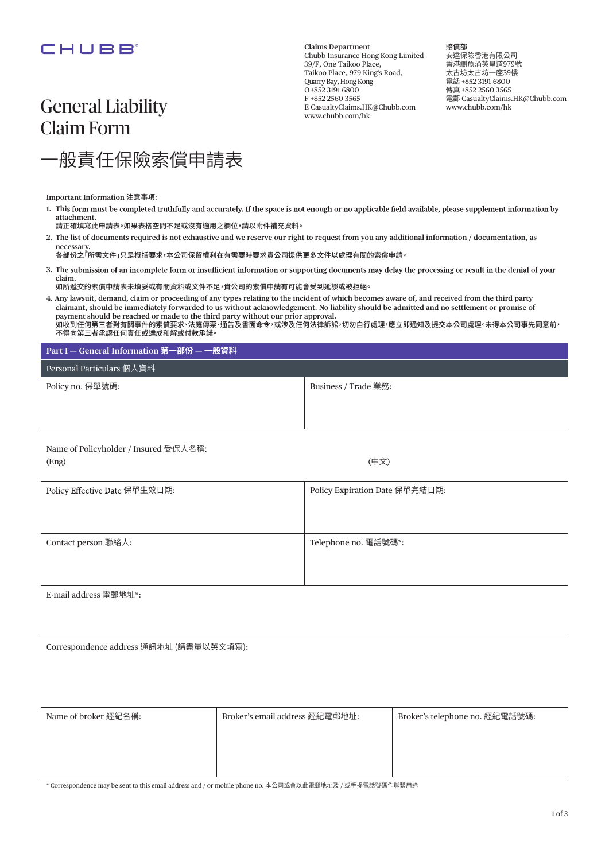## CHUBB

## General Liability Claim Form

般責任保險索償申請表

**Important Information 注意事項:** 

1. This form must be completed truthfully and accurately. If the space is not enough or no applicable field available, please supplement information by **attachment.**

**Claims Department**

www.chubb.com/hk

39/F, One Taikoo Place, Taikoo Place, 979 King's Road, Quarry Bay, Hong Kong O +852 3191 6800 F +852 2560 3565

Chubb Insurance Hong Kong Limited

E CasualtyClaims.HK@Chubb.com

- 請正確填寫此申請表。如果表格空間不足或沒有適用之欄位,請以附件補充資料。
- **2. The list of documents required is not exhaustive and we reserve our right to request from you any additional information / documentation, as necessary.**

-----------------<br>各部份之「所需文件」只是概括要求,本公司保留權利在有需要時要求貴公司提供更多文件以處理有關的索償申請。

- 3. The submission of an incomplete form or insufficient information or supporting documents may delay the processing or result in the denial of your **claim.**
- 如所遞交的索償申請表未填妥或有關資料或文件不足,貴公司的索償申請有可能會受到延誤或被拒絕。
- **4. Any lawsuit, demand, claim or proceeding of any types relating to the incident of which becomes aware of, and received from the third party claimant, should be immediately forwarded to us without acknowledgement. No liability should be admitted and no settlement or promise of payment should be reached or made to the third party without our prior approval.** 如收到仕何第三者對有關事忏的索償要求丶法挺慱祟丶廸告及書面命令᠈或涉及仕何法律訴訟᠈切勿目行處埋᠈應立即通知及提交本公司處埋º禾得本公司事无同意前› ♶䖤ぢ痧♲罏䪭钢⟤⡦顑⟤䧴麨䧭ㄤ鍑䧴➰妵䪭開

### Part I – General Information 第一部份 – 一般資料

| Personal Particulars 個人資料 |                      |  |  |
|---------------------------|----------------------|--|--|
| Policy no. 保單號碼:          | Business / Trade 業務: |  |  |
|                           |                      |  |  |
|                           |                      |  |  |

Name of Policyholder / Insured 受保人名稱:  $(\text{Eng})$  (中文)

| Policy Effective Date 保單生效日期: | Policy Expiration Date 保單完結日期: |
|-------------------------------|--------------------------------|
| Contact person 聯絡人:           | Telephone no. 電話號碼*:           |

E-mail address 雷郵地址\*:

Correspondence address 通訊地址 (請盡量以英文填寫):

| Name of broker 經紀名稱: | Broker's email address 經紀電郵地址: | Broker's telephone no. 經紀電話號碼: |
|----------------------|--------------------------------|--------------------------------|
|                      |                                |                                |
|                      |                                |                                |
|                      |                                |                                |

\* Correspondence may be sent to this email address and / or mobile phone no. 本公司或會以此電郵地址及 / 或手提電話號碼作聯繫用捈

**腔僧部** …………<br>安達保険香港有限公司 スーポスロルランス<br>香港鰂魚涌英皇道979號 太古坊太古坊一座39樓 雷話+852 3191 6800 值直+852 2560 3565 **電郵 CasualtyClaims.HK@Chubb.com** www.chubb.com/hk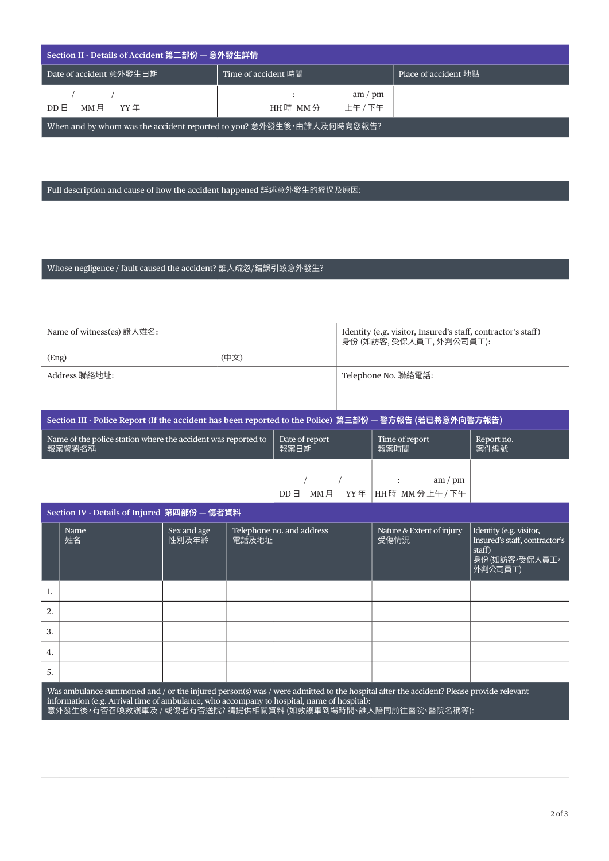| Section II - Details of Accident 第二部份 — 意外發生詳情                        |                            |                      |  |
|-----------------------------------------------------------------------|----------------------------|----------------------|--|
| Date of accident 意外發生日期                                               | Time of accident 時間        | Place of accident 地點 |  |
| MM 月<br>YY 年<br>$DD \boxminus$                                        | am/m<br>上午 / 下午<br>HH時 MM分 |                      |  |
| When and by whom was the accident reported to you? 意外發生後, 由誰人及何時向您報告? |                            |                      |  |

Full description and cause of how the accident happened 詳述意外發生的經過及原因:

## Whose negligence / fault caused the accident? 誰人疏忽/錯誤引致意外發生?

I

| Name of witness(es) 證人姓名: |      | Identity (e.g. visitor, Insured's staff, contractor's staff)<br>身份 (如訪客, 受保人員工, 外判公司員工): |
|---------------------------|------|------------------------------------------------------------------------------------------|
| (Eng)                     | (中文) |                                                                                          |
| Address 聯絡地址:             |      | Telephone No. 聯絡電話:                                                                      |
|                           |      |                                                                                          |
|                           |      |                                                                                          |

| Section III - Police Report (If the accident has been reported to the Police) 第三部份 — 警方報告 (若已將意外向警方報告) |  |                |            |  |
|--------------------------------------------------------------------------------------------------------|--|----------------|------------|--|
| $\Box$ Name of the police station where the accident was reported to $\Box$ Date of report             |  | Time of report | Report no. |  |

| <b>Thank</b> of the police station where the accident was reported to<br>報案警署名稱 | <b>Date of report</b><br>報案日期 | THIR OF ICPOIL<br>報案時間                    | <i>i</i> cport into.<br>案件編號 |
|---------------------------------------------------------------------------------|-------------------------------|-------------------------------------------|------------------------------|
|                                                                                 |                               |                                           |                              |
|                                                                                 |                               | am/m                                      |                              |
|                                                                                 | $DD \boxminus$                | $MM \overline{P}$ YY 年   HH 時 MM 分上午 / 下午 |                              |

|    | Section IV - Details of Injured 第四部份 — 傷者資料                                                                                                                                                                                         |                      |                                    |                                   |                                                                                                 |
|----|-------------------------------------------------------------------------------------------------------------------------------------------------------------------------------------------------------------------------------------|----------------------|------------------------------------|-----------------------------------|-------------------------------------------------------------------------------------------------|
|    | Name<br>姓名                                                                                                                                                                                                                          | Sex and age<br>性別及年齡 | Telephone no. and address<br>雷話及地址 | Nature & Extent of injury<br>受傷情況 | Identity (e.g. visitor,<br>Insured's staff, contractor's<br>staff)<br>身份 (如訪客,受保人員工,<br>外判公司員工) |
|    |                                                                                                                                                                                                                                     |                      |                                    |                                   |                                                                                                 |
| 2. |                                                                                                                                                                                                                                     |                      |                                    |                                   |                                                                                                 |
| 3. |                                                                                                                                                                                                                                     |                      |                                    |                                   |                                                                                                 |
| 4. |                                                                                                                                                                                                                                     |                      |                                    |                                   |                                                                                                 |
| 5. |                                                                                                                                                                                                                                     |                      |                                    |                                   |                                                                                                 |
|    | Was ambulance summoned and / or the injured person(s) was / were admitted to the hospital after the accident? Please provide relevant<br>information (e.g. Arrival time of ambulance, who accompany to hospital, name of hospital): |                      |                                    |                                   |                                                                                                 |

蒠外發玍後,有否召喚救護車及 / 或偒者有否迗院? 請提供相關資料 (如救護单到場時間、誰人陪同前狂醫院、醫院名稱等):